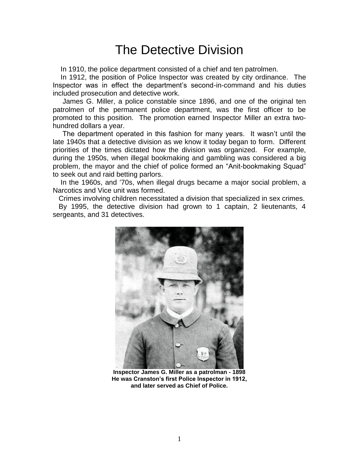## The Detective Division

In 1910, the police department consisted of a chief and ten patrolmen.

 In 1912, the position of Police Inspector was created by city ordinance. The Inspector was in effect the department's second-in-command and his duties included prosecution and detective work.

 James G. Miller, a police constable since 1896, and one of the original ten patrolmen of the permanent police department, was the first officer to be promoted to this position. The promotion earned Inspector Miller an extra twohundred dollars a year.

 The department operated in this fashion for many years. It wasn't until the late 1940s that a detective division as we know it today began to form. Different priorities of the times dictated how the division was organized. For example, during the 1950s, when illegal bookmaking and gambling was considered a big problem, the mayor and the chief of police formed an "Anit-bookmaking Squad" to seek out and raid betting parlors.

 In the 1960s, and '70s, when illegal drugs became a major social problem, a Narcotics and Vice unit was formed.

Crimes involving children necessitated a division that specialized in sex crimes.

 By 1995, the detective division had grown to 1 captain, 2 lieutenants, 4 sergeants, and 31 detectives.



**Inspector James G. Miller as a patrolman - 1898 He was Cranston's first Police Inspector in 1912, and later served as Chief of Police.**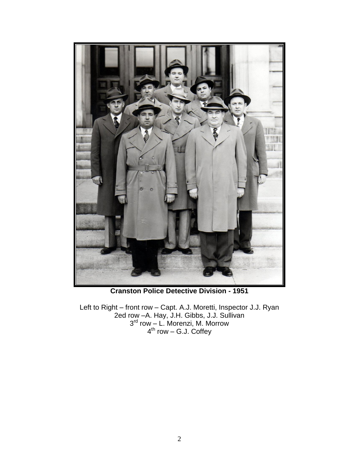

**Cranston Police Detective Division - 1951**

Left to Right – front row – Capt. A.J. Moretti, Inspector J.J. Ryan 2ed row –A. Hay, J.H. Gibbs, J.J. Sullivan 3 rd row – L. Morenzi, M. Morrow 4<sup>th</sup> row – G.J. Coffey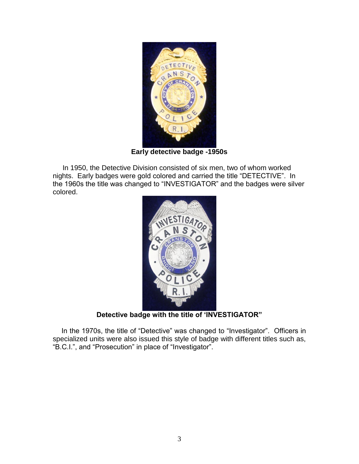

**Early detective badge -1950s** 

 In 1950, the Detective Division consisted of six men, two of whom worked nights. Early badges were gold colored and carried the title "DETECTIVE". In the 1960s the title was changed to "INVESTIGATOR" and the badges were silver colored.



**Detective badge with the title of 'INVESTIGATOR"**

 In the 1970s, the title of "Detective" was changed to "Investigator". Officers in specialized units were also issued this style of badge with different titles such as, "B.C.I.", and "Prosecution" in place of "Investigator".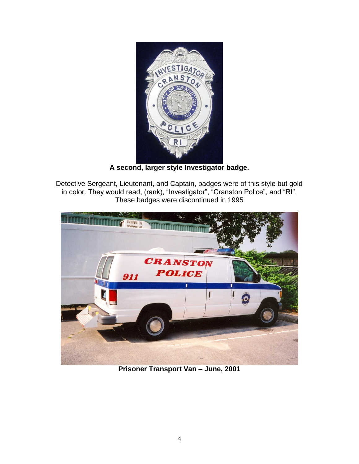

**A second, larger style Investigator badge.**

Detective Sergeant, Lieutenant, and Captain, badges were of this style but gold in color. They would read, (rank), "Investigator", "Cranston Police", and "RI". These badges were discontinued in 1995



**Prisoner Transport Van – June, 2001**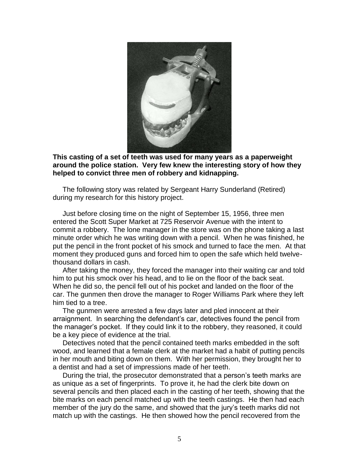

**This casting of a set of teeth was used for many years as a paperweight around the police station. Very few knew the interesting story of how they helped to convict three men of robbery and kidnapping.** 

The following story was related by Sergeant Harry Sunderland (Retired) during my research for this history project.

 Just before closing time on the night of September 15, 1956, three men entered the Scott Super Market at 725 Reservoir Avenue with the intent to commit a robbery. The lone manager in the store was on the phone taking a last minute order which he was writing down with a pencil. When he was finished, he put the pencil in the front pocket of his smock and turned to face the men. At that moment they produced guns and forced him to open the safe which held twelvethousand dollars in cash.

 After taking the money, they forced the manager into their waiting car and told him to put his smock over his head, and to lie on the floor of the back seat. When he did so, the pencil fell out of his pocket and landed on the floor of the car. The gunmen then drove the manager to Roger Williams Park where they left him tied to a tree.

 The gunmen were arrested a few days later and pled innocent at their arraignment. In searching the defendant's car, detectives found the pencil from the manager's pocket. If they could link it to the robbery, they reasoned, it could be a key piece of evidence at the trial.

 Detectives noted that the pencil contained teeth marks embedded in the soft wood, and learned that a female clerk at the market had a habit of putting pencils in her mouth and biting down on them. With her permission, they brought her to a dentist and had a set of impressions made of her teeth.

 During the trial, the prosecutor demonstrated that a person's teeth marks are as unique as a set of fingerprints. To prove it, he had the clerk bite down on several pencils and then placed each in the casting of her teeth, showing that the bite marks on each pencil matched up with the teeth castings. He then had each member of the jury do the same, and showed that the jury's teeth marks did not match up with the castings. He then showed how the pencil recovered from the